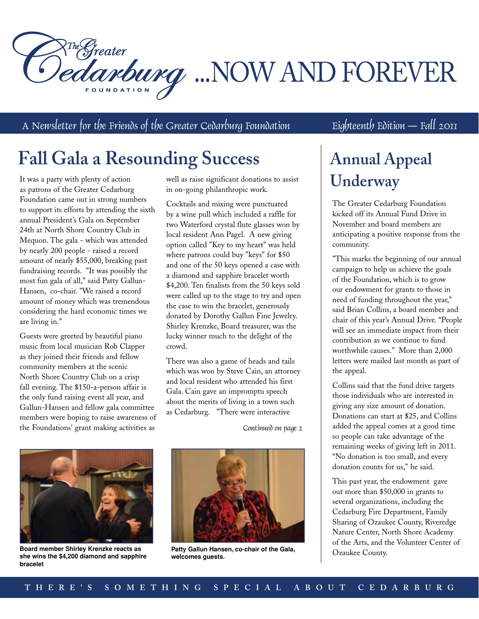RTM Greater<br>Dedanbung ...NOW AND FOREVER

A Newsletter for the Friends of the Greater Cedarburg Foundation  $\qquad \qquad$  Eighteenth Edition  $\qquad$  Fall 2011

## **Fall Gala a Resounding Success**

It was a party with plenty of action as patrons of the Greater Cedarburg Foundation came out in strong numbers to support its efforts by attending the sixth annual President's Gala on September 24th at North Shore Country Club in Mequon. The gala - which was attended by nearly 200 people - raised a record amount of nearly \$55,000, breaking past fundraising records. "It was possibly the most fun gala of all," said Patty Gallun-Hansen, co-chair. "We raised a record amount of money which was tremendous considering the hard economic times we are living in."

Guests were greeted by beautiful piano music from local musician Rob Clapper as they joined their friends and fellow community members at the scenic North Shore Country Club on a crisp fall evening. The \$150-a-person affair is the only fund raising event all year, and Gallun-Hansen and fellow gala committee members were hoping to raise awareness of the Foundations' grant making activities as

well as raise significant donations to assist in on-going philanthropic work.

Cocktails and mixing were punctuated by a wine pull which included a raffle for two Waterford crystal flute glasses won by local resident Ann Pagel. A new giving option called "Key to my heart" was held where patrons could buy "keys" for \$50 and one of the 50 keys opened a case with a diamond and sapphire bracelet worth \$4,200. Ten finalists from the 50 keys sold were called up to the stage to try and open the case to win the bracelet, generously donated by Dorothy Gallun Fine Jewelry. Shirley Krenzke, Board treasurer, was the lucky winner much to the delight of the crowd.

There was also a game of heads and tails which was won by Steve Cain, an attorney and local resident who attended his first Gala. Cain gave an impromptu speech about the merits of living in a town such as Cedarburg. "There were interactive

Continued on page 2



**Board member Shirley Krenzke reacts as she wins the \$4,200 diamond and sapphire bracelet**



**Patty Gallun Hansen, co-chair of the Gala, welcomes guests.**

### **Annual Appeal Underway**

The Greater Cedarburg Foundation kicked off its Annual Fund Drive in November and board members are anticipating a positive response from the community.

"This marks the beginning of our annual campaign to help us achieve the goals of the Foundation, which is to grow our endowment for grants to those in need of funding throughout the year," said Brian Collins, a board member and chair of this year's Annual Drive. "People will see an immediate impact from their contribution as we continue to fund worthwhile causes." More than 2,000 letters were mailed last month as part of the appeal.

Collins said that the fund drive targets those individuals who are interested in giving any size amount of donation. Donations can start at \$25, and Collins added the appeal comes at a good time so people can take advantage of the remaining weeks of giving left in 2011. "No donation is too small, and every donation counts for us," he said.

This past year, the endowment gave out more than \$50,000 in grants to several organizations, including the Cedarburg Fire Department, Family Sharing of Ozaukee County, Riveredge Nature Center, North Shore Academy of the Arts, and the Volunteer Center of Ozaukee County.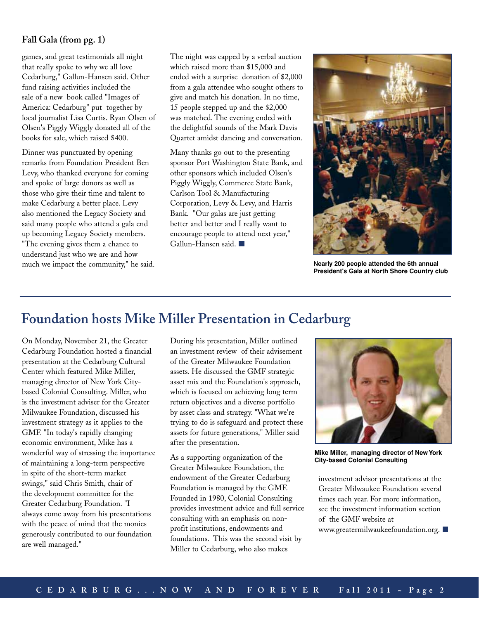#### **Fall Gala (from pg. 1)**

games, and great testimonials all night that really spoke to why we all love Cedarburg," Gallun-Hansen said. Other fund raising activities included the sale of a new book called "Images of America: Cedarburg" put together by local journalist Lisa Curtis. Ryan Olsen of Olsen's Piggly Wiggly donated all of the books for sale, which raised \$400.

Dinner was punctuated by opening remarks from Foundation President Ben Levy, who thanked everyone for coming and spoke of large donors as well as those who give their time and talent to make Cedarburg a better place. Levy also mentioned the Legacy Society and said many people who attend a gala end up becoming Legacy Society members. "The evening gives them a chance to understand just who we are and how much we impact the community," he said. The night was capped by a verbal auction which raised more than \$15,000 and ended with a surprise donation of \$2,000 from a gala attendee who sought others to give and match his donation. In no time, 15 people stepped up and the \$2,000 was matched. The evening ended with the delightful sounds of the Mark Davis Quartet amidst dancing and conversation.

Many thanks go out to the presenting sponsor Port Washington State Bank, and other sponsors which included Olsen's Piggly Wiggly, Commerce State Bank, Carlson Tool & Manufacturing Corporation, Levy & Levy, and Harris Bank. "Our galas are just getting better and better and I really want to encourage people to attend next year," Gallun-Hansen said.



**Nearly 200 people attended the 6th annual President's Gala at North Shore Country club**

#### **Foundation hosts Mike Miller Presentation in Cedarburg**

On Monday, November 21, the Greater Cedarburg Foundation hosted a financial presentation at the Cedarburg Cultural Center which featured Mike Miller, managing director of New York Citybased Colonial Consulting. Miller, who is the investment adviser for the Greater Milwaukee Foundation, discussed his investment strategy as it applies to the GMF. "In today's rapidly changing economic environment, Mike has a wonderful way of stressing the importance of maintaining a long-term perspective in spite of the short-term market swings," said Chris Smith, chair of the development committee for the Greater Cedarburg Foundation. "I always come away from his presentations with the peace of mind that the monies generously contributed to our foundation are well managed."

During his presentation, Miller outlined an investment review of their advisement of the Greater Milwaukee Foundation assets. He discussed the GMF strategic asset mix and the Foundation's approach, which is focused on achieving long term return objectives and a diverse portfolio by asset class and strategy. "What we're trying to do is safeguard and protect these assets for future generations," Miller said after the presentation.

As a supporting organization of the Greater Milwaukee Foundation, the endowment of the Greater Cedarburg Foundation is managed by the GMF. Founded in 1980, Colonial Consulting provides investment advice and full service consulting with an emphasis on nonprofit institutions, endowments and foundations. This was the second visit by Miller to Cedarburg, who also makes



**Mike Miller, managing director of New York City-based Colonial Consulting**

investment advisor presentations at the Greater Milwaukee Foundation several times each year. For more information, see the investment information section of the GMF website at www.greatermilwaukeefoundation.org.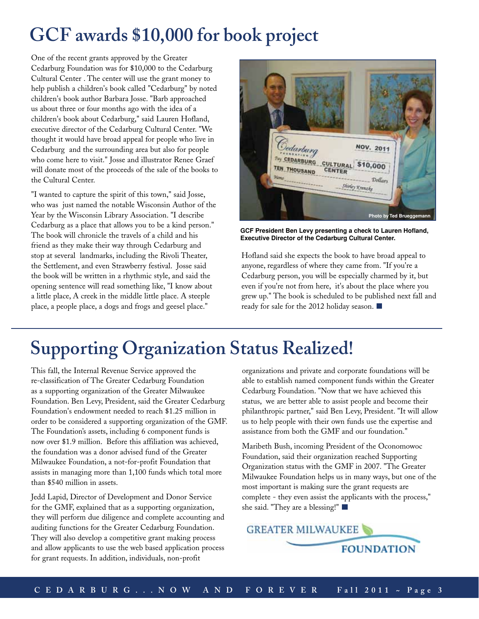## **GCF awards \$10,000 for book project**

One of the recent grants approved by the Greater Cedarburg Foundation was for \$10,000 to the Cedarburg Cultural Center . The center will use the grant money to help publish a children's book called "Cedarburg" by noted children's book author Barbara Josse. "Barb approached us about three or four months ago with the idea of a children's book about Cedarburg," said Lauren Hofland, executive director of the Cedarburg Cultural Center. "We thought it would have broad appeal for people who live in Cedarburg and the surrounding area but also for people who come here to visit." Josse and illustrator Renee Graef will donate most of the proceeds of the sale of the books to the Cultural Center.

"I wanted to capture the spirit of this town," said Josse, who was just named the notable Wisconsin Author of the Year by the Wisconsin Library Association. "I describe Cedarburg as a place that allows you to be a kind person." The book will chronicle the travels of a child and his friend as they make their way through Cedarburg and stop at several landmarks, including the Rivoli Theater, the Settlement, and even Strawberry festival. Josse said the book will be written in a rhythmic style, and said the opening sentence will read something like, "I know about a little place, A creek in the middle little place. A steeple place, a people place, a dogs and frogs and geesel place."



**GCF President Ben Levy presenting a check to Lauren Hofland, Executive Director of the Cedarburg Cultural Center.**

Hofland said she expects the book to have broad appeal to anyone, regardless of where they came from. "If you're a Cedarburg person, you will be especially charmed by it, but even if you're not from here, it's about the place where you grew up." The book is scheduled to be published next fall and ready for sale for the 2012 holiday season.

### **Supporting Organization Status Realized!**

This fall, the Internal Revenue Service approved the re-classification of The Greater Cedarburg Foundation as a supporting organization of the Greater Milwaukee Foundation. Ben Levy, President, said the Greater Cedarburg Foundation's endowment needed to reach \$1.25 million in order to be considered a supporting organization of the GMF. The Foundation's assets, including 6 component funds is now over \$1.9 million. Before this affiliation was achieved, the foundation was a donor advised fund of the Greater Milwaukee Foundation, a not-for-profit Foundation that assists in managing more than 1,100 funds which total more than \$540 million in assets.

Jedd Lapid, Director of Development and Donor Service for the GMF, explained that as a supporting organization, they will perform due diligence and complete accounting and auditing functions for the Greater Cedarburg Foundation. They will also develop a competitive grant making process and allow applicants to use the web based application process for grant requests. In addition, individuals, non-profit

organizations and private and corporate foundations will be able to establish named component funds within the Greater Cedarburg Foundation. "Now that we have achieved this status, we are better able to assist people and become their philanthropic partner," said Ben Levy, President. "It will allow us to help people with their own funds use the expertise and assistance from both the GMF and our foundation."

Maribeth Bush, incoming President of the Oconomowoc Foundation, said their organization reached Supporting Organization status with the GMF in 2007. "The Greater Milwaukee Foundation helps us in many ways, but one of the most important is making sure the grant requests are complete - they even assist the applicants with the process," she said. "They are a blessing!"